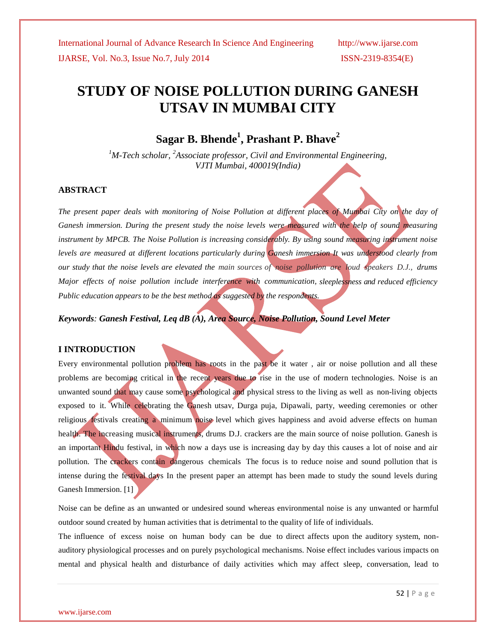# **STUDY OF NOISE POLLUTION DURING GANESH UTSAV IN MUMBAI CITY**

**Sagar B. Bhende<sup>1</sup> , Prashant P. Bhave<sup>2</sup>**

*<sup>1</sup>M-Tech scholar, <sup>2</sup>Associate professor, Civil and Environmental Engineering, VJTI Mumbai, 400019(India)*

#### **ABSTRACT**

The present paper deals with monitoring of Noise Pollution at different places of Mumbai City on the day of *Ganesh immersion. During the present study the noise levels were measured with the help of sound measuring instrument by MPCB. The Noise Pollution is increasing considerably. By using sound measuring instrument noise levels are measured at different locations particularly during Ganesh immersion It was understood clearly from* our study that the noise levels are elevated the main sources of noise pollution are loud speakers D.J., drums *Major effects of noise pollution include interference with communication, sleeplessness and reduced efficiency Public education appears to be the best method as suggested by the respondents.*

*Keywords: Ganesh Festival, Leq dB (A), Area Source, Noise Pollution, Sound Level Meter*

#### **I INTRODUCTION**

Every environmental pollution problem has roots in the past be it water , air or noise pollution and all these problems are becoming critical in the recent years due to rise in the use of modern technologies. Noise is an unwanted sound that may cause some psychological and physical stress to the living as well as non-living objects exposed to it. While celebrating the Ganesh utsav, Durga puja, Dipawali, party, weeding ceremonies or other religious festivals creating a minimum noise level which gives happiness and avoid adverse effects on human health. The increasing musical instruments, drums D.J. crackers are the main source of noise pollution. Ganesh is an important Hindu festival, in which now a days use is increasing day by day this causes a lot of noise and air pollution. The crackers contain dangerous chemicals The focus is to reduce noise and sound pollution that is intense during the festival days In the present paper an attempt has been made to study the sound levels during Ganesh Immersion. [1]

Noise can be define as an unwanted or undesired sound whereas environmental noise is any unwanted or harmful outdoor sound created by human activities that is detrimental to the quality of life of individuals.

The influence of excess noise on human body can be due to direct affects upon the auditory system, nonauditory physiological processes and on purely psychological mechanisms. Noise effect includes various impacts on mental and physical health and disturbance of daily activities which may affect sleep, conversation, lead to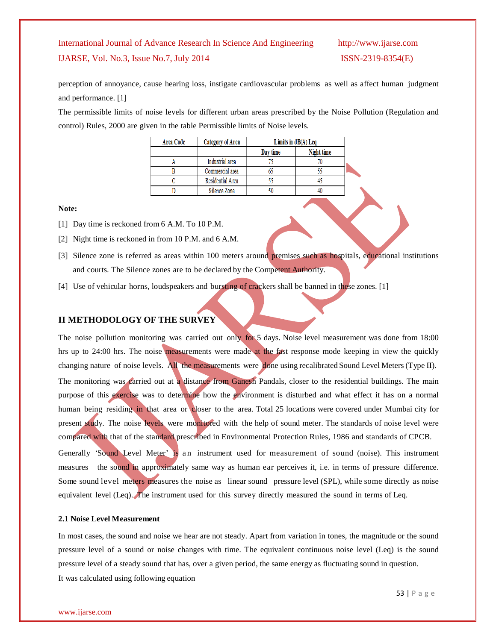perception of annoyance, cause hearing loss, instigate cardiovascular problems as well as affect human judgment and performance. [1]

The permissible limits of noise levels for different urban areas prescribed by the Noise Pollution (Regulation and control) Rules, 2000 are given in the table Permissible limits of Noise levels.

| Area Code | Category of Area |          | Limits in $dB(A)$ Leq |  |
|-----------|------------------|----------|-----------------------|--|
|           |                  | Day time | Night time            |  |
|           | Industrial area  |          |                       |  |
|           | Commercial area  |          |                       |  |
|           | Residential Area |          |                       |  |
|           | Silence Zone     |          |                       |  |

**Note:**

- [1] Day time is reckoned from 6 A.M. To 10 P.M.
- [2] Night time is reckoned in from 10 P.M. and 6 A.M.
- [3] Silence zone is referred as areas within 100 meters around premises such as hospitals, educational institutions and courts. The Silence zones are to be declared by the Competent Authority.
- [4] Use of vehicular horns, loudspeakers and bursting of crackers shall be banned in these zones. [1]

### **II METHODOLOGY OF THE SURVEY**

The noise pollution monitoring was carried out only for 5 days. Noise level measurement was done from 18:00 hrs up to 24:00 hrs. The noise measurements were made at the fast response mode keeping in view the quickly changing nature of noise levels. All the measurements were done using recalibrated Sound Level Meters(Type II). The monitoring was carried out at a distance from Ganesh Pandals, closer to the residential buildings. The main purpose of this exercise was to determine how the environment is disturbed and what effect it has on a normal human being residing in that area or closer to the area. Total 25 locations were covered under Mumbai city for present study. The noise levels were monitored with the help of sound meter. The standards of noise level were compared with that of the standard prescribed in Environmental Protection Rules, 1986 and standards of CPCB.

Generally 'Sound Level Meter' is an instrument used for measurement of sound (noise). This instrument measures the sound in approximately same way as human ear perceives it, i.e. in terms of pressure difference. Some sound level meters measures the noise as linear sound pressure level (SPL), while some directly as noise equivalent level (Leq). The instrument used for this survey directly measured the sound in terms of Leq.

#### **2.1 Noise Level Measurement**

In most cases, the sound and noise we hear are not steady. Apart from variation in tones, the magnitude or the sound pressure level of a sound or noise changes with time. The equivalent continuous noise level (Leq) is the sound pressure level of a steady sound that has, over a given period, the same energy as fluctuating sound in question. It was calculated using following equation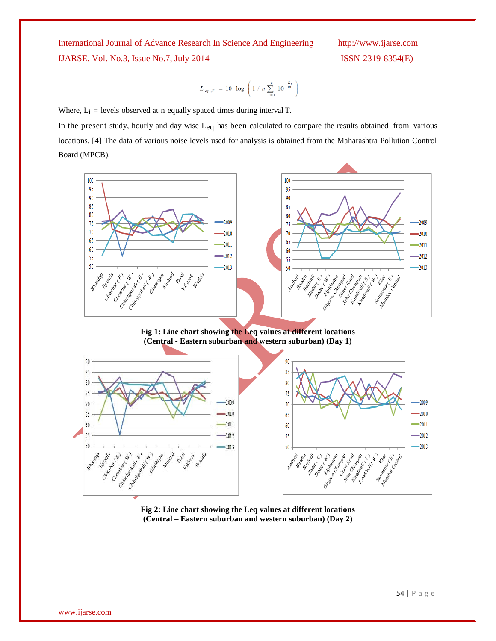$$
L_{eq, T} = 10 \log \left( 1 / n \sum_{i=1}^{n} 10^{-\frac{L_i}{10}} \right)
$$

Where,  $L_i$  = levels observed at n equally spaced times during interval T.

In the present study, hourly and day wise Leq has been calculated to compare the results obtained from various locations. [4] The data of various noise levels used for analysis is obtained from the Maharashtra Pollution Control Board (MPCB).



**Fig 1: Line chart showing the Leq values at different locations (Central - Eastern suburban and western suburban) (Day 1)**



**Fig 2: Line chart showing the Leq values at different locations (Central – Eastern suburban and western suburban) (Day 2**)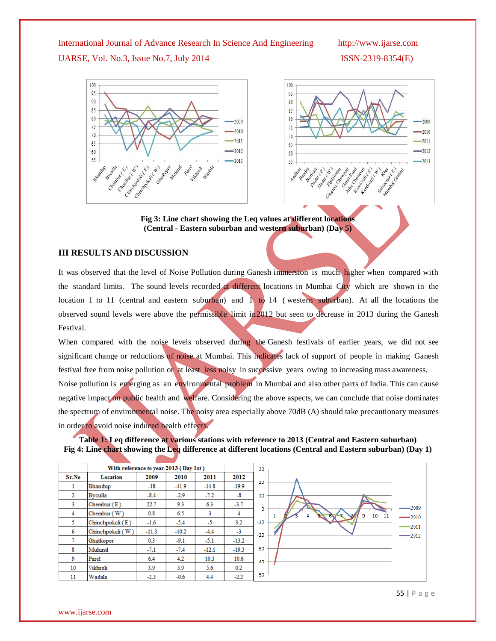

**Fig 3: Line chart showing the Leq values at different locations (Central - Eastern suburban and western suburban) (Day 5)**

#### **III RESULTS AND DISCUSSION**

It was observed that the level of Noise Pollution during Ganesh immersion is much higher when compared with the standard limits. The sound levels recorded at different locations in Mumbai City which are shown in the location 1 to 11 (central and eastern suburban) and  $\hat{1}$  to 14 (western suburban). At all the locations the observed sound levels were above the permissible limit in2012 but seen to decrease in 2013 during the Ganesh Festival.

When compared with the noise levels observed during the Ganesh festivals of earlier years, we did not see significant change or reductions of noise at Mumbai. This indicates lack of support of people in making Ganesh festival free from noise pollution or at least less noisy in successive years owing to increasing mass awareness. Noise pollution is emerging as an environmental problem in Mumbai and also other parts of India. This can cause negative impact on public health and welfare. Considering the above aspects, we can conclude that noise dominates the spectrum of environmental noise. The noisy area especially above 70dB (A) should take precautionary measures in order to avoid noise induced health effects.



|              | With reference to year 2013 (Day 1st) |         |         |         |         | 30        |         |
|--------------|---------------------------------------|---------|---------|---------|---------|-----------|---------|
| Sr.No        | Location                              | 2009    | 2010    | 2011    | 2012    |           |         |
|              | Bhandup                               | $-18$   | $-41.9$ | $-14.8$ | $-19.9$ | 20        |         |
| $\mathbf{2}$ | Byculla                               | $-8.4$  | $-2.9$  | $-7.2$  | $-8$    | 10        |         |
| 3.           | Chembur (E)                           | 22.7    | 9.3     | 6.3     | $-3.7$  | o         | $-2009$ |
| 4            | Chembur(W)                            | 0.8     | 6.5     | 3       | 4       | 1011<br>۹ | $-2010$ |
| 5.           | Chinchpokali (E)                      | $-1.6$  | $-5.4$  | -5      | 3.2     | $-10$     | $-2011$ |
| 6            | Chinchpokali (W)                      | $-11.3$ | $-10.2$ | $-4.4$  | $-3$    | $-20$     | $-2012$ |
|              | Ghatkoper                             | 0.3     | $-9.1$  | $-5.1$  | $-13.2$ |           |         |
| 8            | Mulund                                | $-7.1$  | $-7.4$  | $-12.1$ | $-19.3$ | $-30$     |         |
| -9           | Parel                                 | 6.4     | 4.2     | 10.3    | 10.6    | $-40$     |         |
| 10           | Vikhroli                              | 3.9     | 3.9     | 5.6     | 0.2     |           |         |
| 11           | Wadala                                | $-2.3$  | $-0.6$  | 4.4     | $-2.2$  | $-50$     |         |

55 | P a g e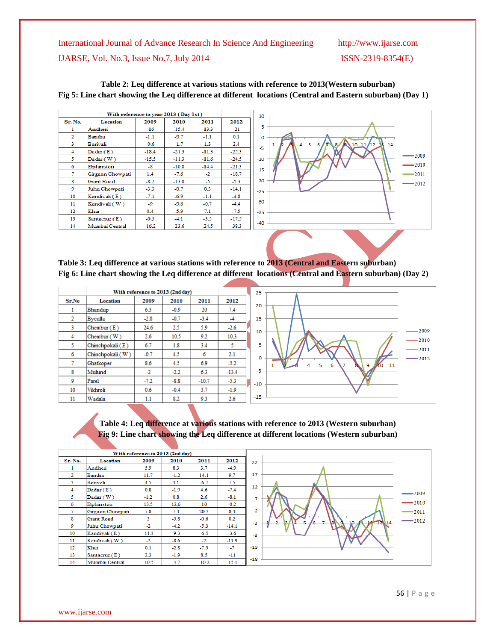|                | With reference to year 2013 (Day 1st) |         |         |         |         |  |  |  |
|----------------|---------------------------------------|---------|---------|---------|---------|--|--|--|
| Sr. No.        | Location                              | 2009    | 2010    | 2011    | 2012    |  |  |  |
| 1              | Andhen                                | $-16$   | $-15.4$ | $-13.3$ | $-21$   |  |  |  |
| $\overline{2}$ | Bandra                                | $-1.1$  | $-9.7$  | $-1.1$  | 0.1     |  |  |  |
| 3.             | Borivali                              | $-0.6$  | $-1.7$  | 1.3     | 2.4     |  |  |  |
| 4              | Dadar(E)                              | $-18.4$ | $-21.3$ | $-11.3$ | $-25.3$ |  |  |  |
| 5              | Dadar(W)                              | $-15.5$ | $-11.3$ | $-11.6$ | $-24.5$ |  |  |  |
| 6              | Elphinston                            | $-8$    | $-10.8$ | $-14.4$ | $-21.3$ |  |  |  |
| 7.             | Girgaon Chowpati                      | 1.4     | $-7.6$  | $-2$    | $-18.7$ |  |  |  |
| 8              | Grant Road                            | $-8.2$  | $-13.8$ | -5      | $-5.3$  |  |  |  |
| 9              | Juhu Chowpati                         | $-3.3$  | $-0.7$  | 0.3     | $-14.1$ |  |  |  |
| 10             | Kandivali (E)                         | $-7.1$  | $-6.9$  | $-1.1$  | $-4.8$  |  |  |  |
| 11             | Kandivali (W)                         | -9      | $-9.6$  | $-0.7$  | $-4.4$  |  |  |  |
| $12 \,$        | Khar                                  | 0.4     | $-5.9$  | 7.1     | $-7.5$  |  |  |  |
| 13             | Santacruz (E)                         | $-0.5$  | $-4.1$  | $-3.5$  | $-17.5$ |  |  |  |
| 14             | Mumbai Central                        | $-16.2$ | $-23.6$ | $-24.5$ | $-38.3$ |  |  |  |





**Table 3: Leq difference at various stations with reference to 2013 (Central and Eastern suburban) Fig 6: Line chart showing the Leq difference at different locations (Central and Eastern suburban) (Day 2)**

|                |                  |        | With reference to 2013 (2nd day) |         |         | 25      |         |
|----------------|------------------|--------|----------------------------------|---------|---------|---------|---------|
| Sr.No          | <b>Location</b>  | 2009   | 2010                             | 2011    | 2012    |         |         |
|                | Bhandup          | 6.3    | $-0.9$                           | 20      | 7.4     | 20      |         |
| $\overline{2}$ | Byculla          | $-2.8$ | $-0.7$                           | $-3.4$  | $-4$    | 15      |         |
| 3              | Chembur(E)       | 24.6   | 2.5                              | 5.9     | $-2.6$  |         |         |
| 4              | Chembur $(W)$    | 2.6    | 10.5                             | 9.2     | 10.3    | 10      |         |
| 5              | Chinchpokali (E) | 6.7    | 1.8                              | 3.4     | 5       | 5       |         |
| 6              | Chinchpokali (W) | $-0.7$ | 4.5                              | 6       | 2.1     | $\circ$ |         |
| 7              | Ghatkoper        | 8.6    | 4.5                              | 6.9     | $-5.2$  |         | 1.<br>Δ |
| 8              | Mulund           | $-2$   | $-2.2$                           | 6.3     | $-13.4$ | -5      |         |
| 9              | Parel            | $-7.2$ | $-8.8$                           | $-10.7$ | $-5.3$  | $-10$   |         |
| 10             | Vikhroli         | 0.6    | $-0.4$                           | 3.7     | $-1.9$  |         |         |
| 11             | Wadala           | 1.1    | 8.2                              | 9.3     | 2.6     | $-15$   |         |



**Table 4: Leq difference at various stations with reference to 2013 (Western suburban) Fig 9: Line chart showing the Leq difference at different locations (Western suburban)**

|                |                  |         | With reference to 2013 (2nd day) |         |         |       |               |         |
|----------------|------------------|---------|----------------------------------|---------|---------|-------|---------------|---------|
| Sr. No.        | Location         | 2009    | 2010                             | 2011    | 2012    | 22    |               |         |
| 1              | Andhen           | 5.9     | 8.3                              | 3.7     | $-4.9$  |       |               |         |
| $\overline{2}$ | Bandra           | 11.7    | $-1.2$                           | 14.1    | 9.7     | 17    |               |         |
| 3              | Borivali         | 4.5     | 3.1                              | $-6.7$  | 7.5     |       |               |         |
| $\overline{4}$ | Dadar(E)         | 0.8     | $-1.9$                           | 4.6     | $-7.4$  | 12    |               |         |
| 5.             | Dadar(W)         | $-1.2$  | 0.8                              | 2.6     | $-8.1$  |       |               | -2009   |
| 6              | Elphinston       | 13.5    | 12.6                             | 10      | $-0.2$  |       |               | $-2010$ |
| 7              | Girgaon Chowpati | 7.8     | 7.3                              | 20.3    | 8.3     | 2     |               | $-2011$ |
| 8              | Grant Road       | 3       | $-5.8$                           | $-0.6$  | 0.2     |       |               | $-2012$ |
| 9              | Juhu Chowpati    | $-2$    | $-4.2$                           | $-5.3$  | $-14.1$ | -3    | $2 - 13 - 14$ |         |
| 10             | Kandivali (E)    | $-11.3$ | $-9.3$                           | $-6.5$  | $-3.6$  | $-8$  |               |         |
| 11             | Kandivali (W)    | $-2$    | $-8.6$                           | $-2$    | $-11.9$ |       |               |         |
| 12             | Khar             | 0.1     | $-2.8$                           | $-7.3$  | $-7$    | $-13$ |               |         |
| 13             | Santacruz (E)    | 2.3     | $-1.9$                           | 8.5     | $-11$   |       |               |         |
| 14             | Mumbai Central   | $-10.5$ | $-4.7$                           | $-10.2$ | $-15.1$ | $-18$ |               |         |